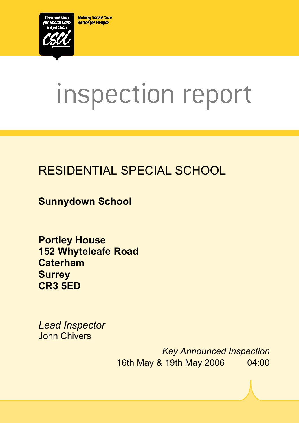**Making Social Care Better for People** 



# inspection report

# RESIDENTIAL SPECIAL SCHOOL

**Sunnydown School** 

**Portley House 152 Whyteleafe Road Caterham Surrey CR3 5ED** 

*Lead Inspector*  John Chivers

ī

*Key Announced Inspection* 16th May & 19th May 2006 04:00

 $S_{\rm 2D}$  DS000013896.V295776.V295776. $R_{\rm 2D}$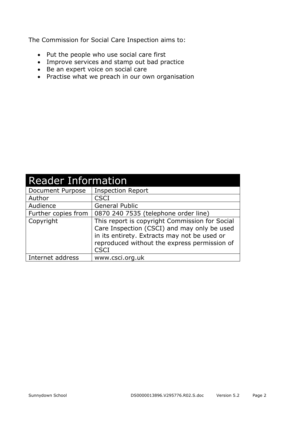The Commission for Social Care Inspection aims to:

- Put the people who use social care first
- Improve services and stamp out bad practice
- Be an expert voice on social care
- Practise what we preach in our own organisation

| <b>Reader Information</b> |                                                                                                                                                                                                              |  |  |
|---------------------------|--------------------------------------------------------------------------------------------------------------------------------------------------------------------------------------------------------------|--|--|
| Document Purpose          | <b>Inspection Report</b>                                                                                                                                                                                     |  |  |
| Author                    | <b>CSCI</b>                                                                                                                                                                                                  |  |  |
| Audience                  | <b>General Public</b>                                                                                                                                                                                        |  |  |
| Further copies from       | 0870 240 7535 (telephone order line)                                                                                                                                                                         |  |  |
| Copyright                 | This report is copyright Commission for Social<br>Care Inspection (CSCI) and may only be used<br>in its entirety. Extracts may not be used or<br>reproduced without the express permission of<br><b>CSCI</b> |  |  |
| Internet address          | www.csci.org.uk                                                                                                                                                                                              |  |  |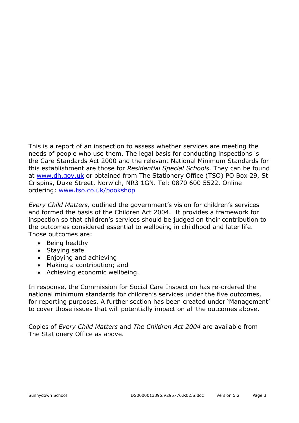This is a report of an inspection to assess whether services are meeting the needs of people who use them. The legal basis for conducting inspections is the Care Standards Act 2000 and the relevant National Minimum Standards for this establishment are those for *Residential Special Schools.* They can be found at www.dh.gov.uk or obtained from The Stationery Office (TSO) PO Box 29, St Crispins, Duke Street, Norwich, NR3 1GN. Tel: 0870 600 5522. Online ordering: www.tso.co.uk/bookshop

*Every Child Matters,* outlined the government's vision for children's services and formed the basis of the Children Act 2004. It provides a framework for inspection so that children's services should be judged on their contribution to the outcomes considered essential to wellbeing in childhood and later life. Those outcomes are:

- Being healthy
- Staying safe
- Enjoying and achieving
- Making a contribution; and
- Achieving economic wellbeing.

In response, the Commission for Social Care Inspection has re-ordered the national minimum standards for children's services under the five outcomes, for reporting purposes. A further section has been created under 'Management' to cover those issues that will potentially impact on all the outcomes above.

Copies of *Every Child Matters* and *The Children Act 2004* are available from The Stationery Office as above.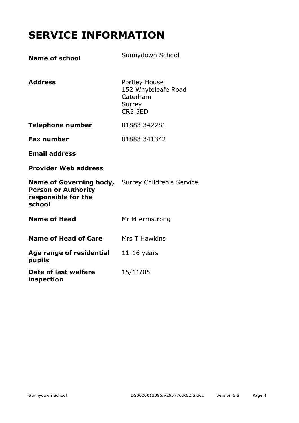# **SERVICE INFORMATION**

| <b>Name of school</b>                                                                                                   | Sunnydown School                                                      |
|-------------------------------------------------------------------------------------------------------------------------|-----------------------------------------------------------------------|
| <b>Address</b>                                                                                                          | Portley House<br>152 Whyteleafe Road<br>Caterham<br>Surrey<br>CR3 5ED |
| <b>Telephone number</b>                                                                                                 | 01883 342281                                                          |
| <b>Fax number</b>                                                                                                       | 01883 341342                                                          |
| <b>Email address</b>                                                                                                    |                                                                       |
| <b>Provider Web address</b>                                                                                             |                                                                       |
| <b>Name of Governing body,</b> Surrey Children's Service<br><b>Person or Authority</b><br>responsible for the<br>school |                                                                       |
| <b>Name of Head</b>                                                                                                     | Mr M Armstrong                                                        |
| <b>Name of Head of Care</b>                                                                                             | <b>Mrs T Hawkins</b>                                                  |
| Age range of residential<br>pupils                                                                                      | $11-16$ years                                                         |
| Date of last welfare<br>inspection                                                                                      | 15/11/05                                                              |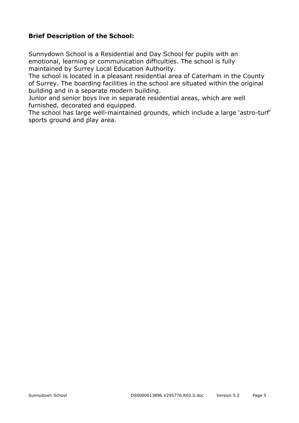#### **Brief Description of the School:**

Sunnydown School is a Residential and Day School for pupils with an emotional, learning or communication difficulties. The school is fully maintained by Surrey Local Education Authority.

The school is located in a pleasant residential area of Caterham in the County of Surrey. The boarding facilities in the school are situated within the original building and in a separate modern building.

Junior and senior boys live in separate residential areas, which are well furnished, decorated and equipped.

The school has large well-maintained grounds, which include a large 'astro-turf' sports ground and play area.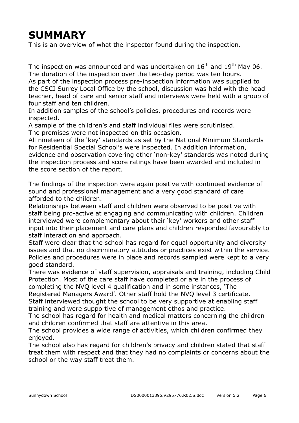## **SUMMARY**

This is an overview of what the inspector found during the inspection.

The inspection was announced and was undertaken on  $16<sup>th</sup>$  and  $19<sup>th</sup>$  May 06. The duration of the inspection over the two-day period was ten hours.

As part of the inspection process pre-inspection information was supplied to the CSCI Surrey Local Office by the school, discussion was held with the head teacher, head of care and senior staff and interviews were held with a group of four staff and ten children.

In addition samples of the school's policies, procedures and records were inspected.

A sample of the children's and staff individual files were scrutinised. The premises were not inspected on this occasion.

All nineteen of the 'key' standards as set by the National Minimum Standards for Residential Special School's were inspected. In addition information, evidence and observation covering other 'non-key' standards was noted during the inspection process and score ratings have been awarded and included in the score section of the report.

The findings of the inspection were again positive with continued evidence of sound and professional management and a very good standard of care afforded to the children.

Relationships between staff and children were observed to be positive with staff being pro-active at engaging and communicating with children. Children interviewed were complementary about their 'key' workers and other staff input into their placement and care plans and children responded favourably to staff interaction and approach.

Staff were clear that the school has regard for equal opportunity and diversity issues and that no discriminatory attitudes or practices exist within the service. Policies and procedures were in place and records sampled were kept to a very good standard.

There was evidence of staff supervision, appraisals and training, including Child Protection. Most of the care staff have completed or are in the process of completing the NVQ level 4 qualification and in some instances, 'The

Registered Managers Award'. Other staff hold the NVQ level 3 certificate. Staff interviewed thought the school to be very supportive at enabling staff training and were supportive of management ethos and practice.

The school has regard for health and medical matters concerning the children and children confirmed that staff are attentive in this area.

The school provides a wide range of activities, which children confirmed they enjoyed.

The school also has regard for children's privacy and children stated that staff treat them with respect and that they had no complaints or concerns about the school or the way staff treat them.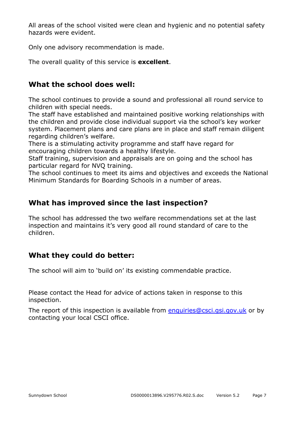All areas of the school visited were clean and hygienic and no potential safety hazards were evident.

Only one advisory recommendation is made.

The overall quality of this service is **excellent**.

#### **What the school does well:**

The school continues to provide a sound and professional all round service to children with special needs.

The staff have established and maintained positive working relationships with the children and provide close individual support via the school's key worker system. Placement plans and care plans are in place and staff remain diligent regarding children's welfare.

There is a stimulating activity programme and staff have regard for encouraging children towards a healthy lifestyle.

Staff training, supervision and appraisals are on going and the school has particular regard for NVQ training.

The school continues to meet its aims and objectives and exceeds the National Minimum Standards for Boarding Schools in a number of areas.

#### **What has improved since the last inspection?**

The school has addressed the two welfare recommendations set at the last inspection and maintains it's very good all round standard of care to the children.

#### **What they could do better:**

The school will aim to 'build on' its existing commendable practice.

Please contact the Head for advice of actions taken in response to this inspection.

The report of this inspection is available from enquiries@csci.gsi.gov.uk or by contacting your local CSCI office.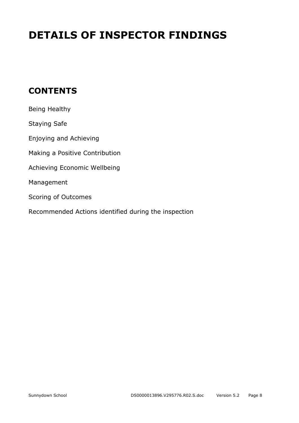# **DETAILS OF INSPECTOR FINDINGS**

## **CONTENTS**

| Being Healthy                                        |
|------------------------------------------------------|
| Staying Safe                                         |
| Enjoying and Achieving                               |
| Making a Positive Contribution                       |
| Achieving Economic Wellbeing                         |
| Management                                           |
| Scoring of Outcomes                                  |
| Recommended Actions identified during the inspection |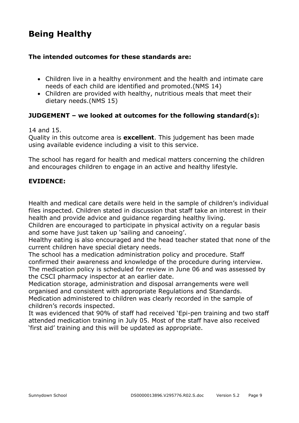## **Being Healthy**

#### **The intended outcomes for these standards are:**

- Children live in a healthy environment and the health and intimate care needs of each child are identified and promoted.(NMS 14)
- Children are provided with healthy, nutritious meals that meet their dietary needs.(NMS 15)

#### **JUDGEMENT – we looked at outcomes for the following standard(s):**

#### 14 and 15.

Quality in this outcome area is **excellent**. This judgement has been made using available evidence including a visit to this service.

The school has regard for health and medical matters concerning the children and encourages children to engage in an active and healthy lifestyle.

#### **EVIDENCE:**

Health and medical care details were held in the sample of children's individual files inspected. Children stated in discussion that staff take an interest in their health and provide advice and guidance regarding healthy living.

Children are encouraged to participate in physical activity on a regular basis and some have just taken up 'sailing and canoeing'.

Healthy eating is also encouraged and the head teacher stated that none of the current children have special dietary needs.

The school has a medication administration policy and procedure. Staff confirmed their awareness and knowledge of the procedure during interview. The medication policy is scheduled for review in June 06 and was assessed by the CSCI pharmacy inspector at an earlier date.

Medication storage, administration and disposal arrangements were well organised and consistent with appropriate Regulations and Standards. Medication administered to children was clearly recorded in the sample of children's records inspected.

It was evidenced that 90% of staff had received 'Epi-pen training and two staff attended medication training in July 05. Most of the staff have also received 'first aid' training and this will be updated as appropriate.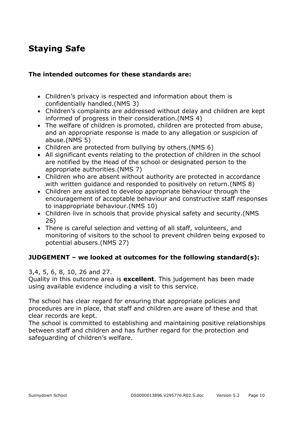## **Staying Safe**

#### **The intended outcomes for these standards are:**

- Children's privacy is respected and information about them is confidentially handled.(NMS 3)
- Children's complaints are addressed without delay and children are kept informed of progress in their consideration.(NMS 4)
- The welfare of children is promoted, children are protected from abuse, and an appropriate response is made to any allegation or suspicion of abuse.(NMS 5)
- Children are protected from bullying by others.(NMS 6)
- All significant events relating to the protection of children in the school are notified by the Head of the school or designated person to the appropriate authorities.(NMS 7)
- Children who are absent without authority are protected in accordance with written guidance and responded to positively on return. (NMS 8)
- Children are assisted to develop appropriate behaviour through the encouragement of acceptable behaviour and constructive staff responses to inappropriate behaviour.(NMS 10)
- Children live in schools that provide physical safety and security.(NMS 26)
- There is careful selection and vetting of all staff, volunteers, and monitoring of visitors to the school to prevent children being exposed to potential abusers.(NMS 27)

#### **JUDGEMENT – we looked at outcomes for the following standard(s):**

3,4, 5, 6, 8, 10, 26 and 27.

Quality in this outcome area is **excellent**. This judgement has been made using available evidence including a visit to this service.

The school has clear regard for ensuring that appropriate policies and procedures are in place, that staff and children are aware of these and that clear records are kept.

The school is committed to establishing and maintaining positive relationships between staff and children and has further regard for the protection and safeguarding of children's welfare.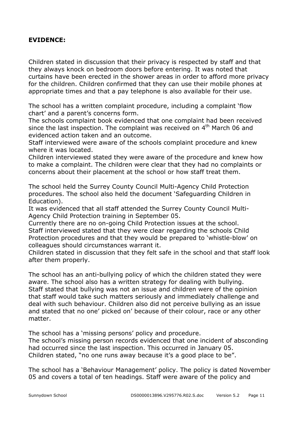#### **EVIDENCE:**

Children stated in discussion that their privacy is respected by staff and that they always knock on bedroom doors before entering. It was noted that curtains have been erected in the shower areas in order to afford more privacy for the children. Children confirmed that they can use their mobile phones at appropriate times and that a pay telephone is also available for their use.

The school has a written complaint procedure, including a complaint 'flow chart' and a parent's concerns form.

The schools complaint book evidenced that one complaint had been received since the last inspection. The complaint was received on  $4<sup>th</sup>$  March 06 and evidenced action taken and an outcome.

Staff interviewed were aware of the schools complaint procedure and knew where it was located.

Children interviewed stated they were aware of the procedure and knew how to make a complaint. The children were clear that they had no complaints or concerns about their placement at the school or how staff treat them.

The school held the Surrey County Council Multi-Agency Child Protection procedures. The school also held the document 'Safeguarding Children in Education).

It was evidenced that all staff attended the Surrey County Council Multi-Agency Child Protection training in September 05.

Currently there are no on-going Child Protection issues at the school. Staff interviewed stated that they were clear regarding the schools Child Protection procedures and that they would be prepared to 'whistle-blow' on colleagues should circumstances warrant it.

Children stated in discussion that they felt safe in the school and that staff look after them properly.

The school has an anti-bullying policy of which the children stated they were aware. The school also has a written strategy for dealing with bullying. Staff stated that bullying was not an issue and children were of the opinion that staff would take such matters seriously and immediately challenge and deal with such behaviour. Children also did not perceive bullying as an issue and stated that no one' picked on' because of their colour, race or any other matter.

The school has a 'missing persons' policy and procedure.

The school's missing person records evidenced that one incident of absconding had occurred since the last inspection. This occurred in January 05. Children stated, "no one runs away because it's a good place to be".

The school has a 'Behaviour Management' policy. The policy is dated November 05 and covers a total of ten headings. Staff were aware of the policy and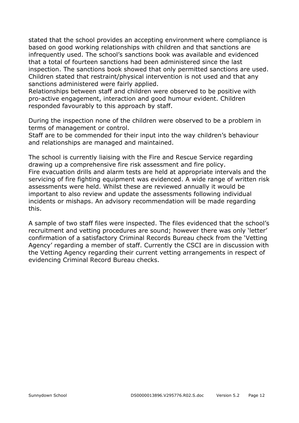stated that the school provides an accepting environment where compliance is based on good working relationships with children and that sanctions are infrequently used. The school's sanctions book was available and evidenced that a total of fourteen sanctions had been administered since the last inspection. The sanctions book showed that only permitted sanctions are used. Children stated that restraint/physical intervention is not used and that any sanctions administered were fairly applied.

Relationships between staff and children were observed to be positive with pro-active engagement, interaction and good humour evident. Children responded favourably to this approach by staff.

During the inspection none of the children were observed to be a problem in terms of management or control.

Staff are to be commended for their input into the way children's behaviour and relationships are managed and maintained.

The school is currently liaising with the Fire and Rescue Service regarding drawing up a comprehensive fire risk assessment and fire policy. Fire evacuation drills and alarm tests are held at appropriate intervals and the servicing of fire fighting equipment was evidenced. A wide range of written risk assessments were held. Whilst these are reviewed annually it would be important to also review and update the assessments following individual incidents or mishaps. An advisory recommendation will be made regarding this.

A sample of two staff files were inspected. The files evidenced that the school's recruitment and vetting procedures are sound; however there was only 'letter' confirmation of a satisfactory Criminal Records Bureau check from the 'Vetting Agency' regarding a member of staff. Currently the CSCI are in discussion with the Vetting Agency regarding their current vetting arrangements in respect of evidencing Criminal Record Bureau checks.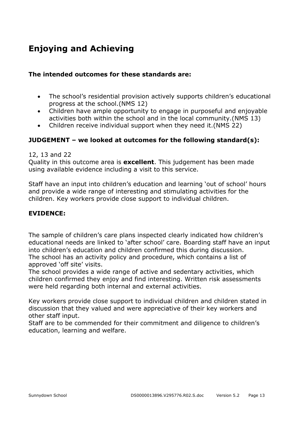## **Enjoying and Achieving**

#### **The intended outcomes for these standards are:**

- The school's residential provision actively supports children's educational progress at the school.(NMS 12)
- Children have ample opportunity to engage in purposeful and enjoyable activities both within the school and in the local community.(NMS 13)
- Children receive individual support when they need it.(NMS 22)

#### **JUDGEMENT – we looked at outcomes for the following standard(s):**

#### 12, 13 and 22

Quality in this outcome area is **excellent**. This judgement has been made using available evidence including a visit to this service.

Staff have an input into children's education and learning 'out of school' hours and provide a wide range of interesting and stimulating activities for the children. Key workers provide close support to individual children.

#### **EVIDENCE:**

The sample of children's care plans inspected clearly indicated how children's educational needs are linked to 'after school' care. Boarding staff have an input into children's education and children confirmed this during discussion. The school has an activity policy and procedure, which contains a list of approved 'off site' visits.

The school provides a wide range of active and sedentary activities, which children confirmed they enjoy and find interesting. Written risk assessments were held regarding both internal and external activities.

Key workers provide close support to individual children and children stated in discussion that they valued and were appreciative of their key workers and other staff input.

Staff are to be commended for their commitment and diligence to children's education, learning and welfare.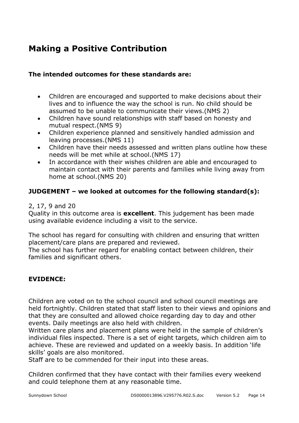## **Making a Positive Contribution**

#### **The intended outcomes for these standards are:**

- Children are encouraged and supported to make decisions about their lives and to influence the way the school is run. No child should be assumed to be unable to communicate their views.(NMS 2)
- Children have sound relationships with staff based on honesty and mutual respect.(NMS 9)
- Children experience planned and sensitively handled admission and leaving processes.(NMS 11)
- Children have their needs assessed and written plans outline how these needs will be met while at school.(NMS 17)
- In accordance with their wishes children are able and encouraged to maintain contact with their parents and families while living away from home at school.(NMS 20)

#### **JUDGEMENT – we looked at outcomes for the following standard(s):**

#### 2, 17, 9 and 20

Quality in this outcome area is **excellent**. This judgement has been made using available evidence including a visit to the service.

The school has regard for consulting with children and ensuring that written placement/care plans are prepared and reviewed.

The school has further regard for enabling contact between children, their families and significant others.

#### **EVIDENCE:**

Children are voted on to the school council and school council meetings are held fortnightly. Children stated that staff listen to their views and opinions and that they are consulted and allowed choice regarding day to day and other events. Daily meetings are also held with children.

Written care plans and placement plans were held in the sample of children's individual files inspected. There is a set of eight targets, which children aim to achieve. These are reviewed and updated on a weekly basis. In addition 'life skills' goals are also monitored.

Staff are to be commended for their input into these areas.

Children confirmed that they have contact with their families every weekend and could telephone them at any reasonable time.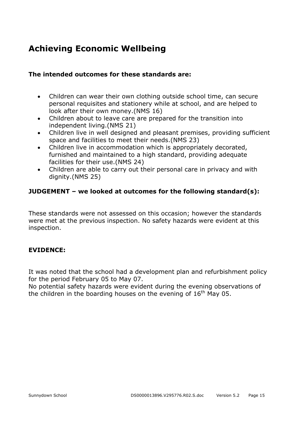## **Achieving Economic Wellbeing**

#### **The intended outcomes for these standards are:**

- Children can wear their own clothing outside school time, can secure personal requisites and stationery while at school, and are helped to look after their own money.(NMS 16)
- Children about to leave care are prepared for the transition into independent living.(NMS 21)
- Children live in well designed and pleasant premises, providing sufficient space and facilities to meet their needs.(NMS 23)
- Children live in accommodation which is appropriately decorated, furnished and maintained to a high standard, providing adequate facilities for their use.(NMS 24)
- Children are able to carry out their personal care in privacy and with dignity.(NMS 25)

#### **JUDGEMENT – we looked at outcomes for the following standard(s):**

These standards were not assessed on this occasion; however the standards were met at the previous inspection. No safety hazards were evident at this inspection.

#### **EVIDENCE:**

It was noted that the school had a development plan and refurbishment policy for the period February 05 to May 07.

No potential safety hazards were evident during the evening observations of the children in the boarding houses on the evening of  $16<sup>th</sup>$  May 05.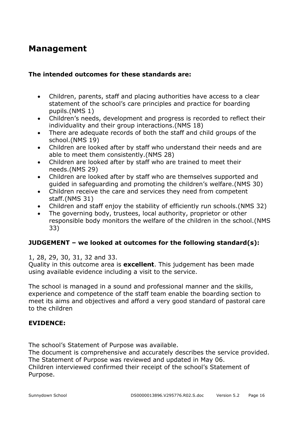### **Management**

#### **The intended outcomes for these standards are:**

- Children, parents, staff and placing authorities have access to a clear statement of the school's care principles and practice for boarding pupils.(NMS 1)
- Children's needs, development and progress is recorded to reflect their individuality and their group interactions.(NMS 18)
- There are adequate records of both the staff and child groups of the school.(NMS 19)
- Children are looked after by staff who understand their needs and are able to meet them consistently.(NMS 28)
- Children are looked after by staff who are trained to meet their needs.(NMS 29)
- Children are looked after by staff who are themselves supported and guided in safeguarding and promoting the children's welfare.(NMS 30)
- Children receive the care and services they need from competent staff.(NMS 31)
- Children and staff enjoy the stability of efficiently run schools.(NMS 32)
- The governing body, trustees, local authority, proprietor or other responsible body monitors the welfare of the children in the school.(NMS 33)

#### **JUDGEMENT – we looked at outcomes for the following standard(s):**

1, 28, 29, 30, 31, 32 and 33.

Quality in this outcome area is **excellent**. This judgement has been made using available evidence including a visit to the service.

The school is managed in a sound and professional manner and the skills, experience and competence of the staff team enable the boarding section to meet its aims and objectives and afford a very good standard of pastoral care to the children

#### **EVIDENCE:**

The school's Statement of Purpose was available.

The document is comprehensive and accurately describes the service provided. The Statement of Purpose was reviewed and updated in May 06.

Children interviewed confirmed their receipt of the school's Statement of Purpose.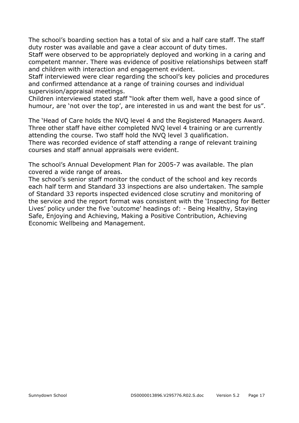The school's boarding section has a total of six and a half care staff. The staff duty roster was available and gave a clear account of duty times.

Staff were observed to be appropriately deployed and working in a caring and competent manner. There was evidence of positive relationships between staff and children with interaction and engagement evident.

Staff interviewed were clear regarding the school's key policies and procedures and confirmed attendance at a range of training courses and individual supervision/appraisal meetings.

Children interviewed stated staff "look after them well, have a good since of humour, are 'not over the top', are interested in us and want the best for us".

The 'Head of Care holds the NVQ level 4 and the Registered Managers Award. Three other staff have either completed NVQ level 4 training or are currently attending the course. Two staff hold the NVQ level 3 qualification.

There was recorded evidence of staff attending a range of relevant training courses and staff annual appraisals were evident.

The school's Annual Development Plan for 2005-7 was available. The plan covered a wide range of areas.

The school's senior staff monitor the conduct of the school and key records each half term and Standard 33 inspections are also undertaken. The sample of Standard 33 reports inspected evidenced close scrutiny and monitoring of the service and the report format was consistent with the 'Inspecting for Better Lives' policy under the five 'outcome' headings of: - Being Healthy, Staying Safe, Enjoying and Achieving, Making a Positive Contribution, Achieving Economic Wellbeing and Management.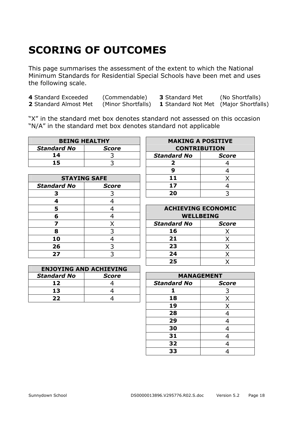# **SCORING OF OUTCOMES**

This page summarises the assessment of the extent to which the National Minimum Standards for Residential Special Schools have been met and uses the following scale.

| 4 Standard Exceeded   | (Commendable)      | <b>3</b> Standard Met                        | (No Shortfalls) |
|-----------------------|--------------------|----------------------------------------------|-----------------|
| 2 Standard Almost Met | (Minor Shortfalls) | <b>1</b> Standard Not Met (Major Shortfalls) |                 |

"X" in the standard met box denotes standard not assessed on this occasion "N/A" in the standard met box denotes standard not applicable

| <b>BEING HEALTHY</b> |       |                     | <b>MAKING A POSITIVE</b> |
|----------------------|-------|---------------------|--------------------------|
| <b>Standard No</b>   | Score | <b>CONTRIBUTION</b> |                          |
| 14                   |       | <b>Standard No</b>  | Scoi                     |
| 15                   |       |                     |                          |

| <b>STAYING SAFE</b> |              | 11                         |  |
|---------------------|--------------|----------------------------|--|
| <b>Standard No</b>  | <b>Score</b> | 17                         |  |
|                     |              | 20                         |  |
|                     |              |                            |  |
|                     |              | <b>ACHIEVING ECONOMI</b>   |  |
| 6                   |              | <b>WELLBEING</b>           |  |
|                     |              | <b>Standard No</b><br>Scor |  |
| 8                   |              | 16                         |  |
| 10                  |              | 21                         |  |
| 26                  |              | 23                         |  |
| 27                  |              |                            |  |

|                    | <b>ENJOYING AND ACHIEVING</b> |                    |                   |
|--------------------|-------------------------------|--------------------|-------------------|
| <b>Standard No</b> | <b>Score</b>                  |                    | <b>MANAGEMENT</b> |
| 1 7                |                               | <b>Standard No</b> | соі               |
| 13                 |                               |                    |                   |
| כל                 |                               |                    |                   |

| <b>BEING HEALTHY</b> |              | <b>MAKING A POSITIVE</b> |                     |  |  |
|----------------------|--------------|--------------------------|---------------------|--|--|
| dard No              | <b>Score</b> |                          | <b>CONTRIBUTION</b> |  |  |
| 14                   |              | <b>Standard No</b>       | <b>Score</b>        |  |  |
| 15                   |              |                          |                     |  |  |
|                      |              |                          |                     |  |  |
| <b>STAYING SAFE</b>  |              |                          |                     |  |  |
| dard No              | <b>Score</b> | 17                       |                     |  |  |
|                      |              | 20                       |                     |  |  |
|                      |              |                          |                     |  |  |

| 5  | <b>ACHIEVING ECONOMIC</b> |              |
|----|---------------------------|--------------|
| 6  | <b>WELLBEING</b>          |              |
| 7  | <b>Standard No</b>        | <b>Score</b> |
| 8  | 16                        |              |
|    | 21                        |              |
| 26 | 23                        |              |
| די | 24                        |              |
|    | 25                        |              |
|    |                           |              |

| And Achile , 201 |                    |              |
|------------------|--------------------|--------------|
| <b>Score</b>     | <b>MANAGEMENT</b>  |              |
|                  | <b>Standard No</b> | <b>Score</b> |
|                  |                    |              |
|                  | 18                 |              |
|                  | 19                 |              |
|                  | 28                 |              |
|                  | 29                 |              |
|                  | 30                 |              |
|                  | 31                 |              |
|                  | 32                 |              |
|                  | 33                 |              |
|                  |                    |              |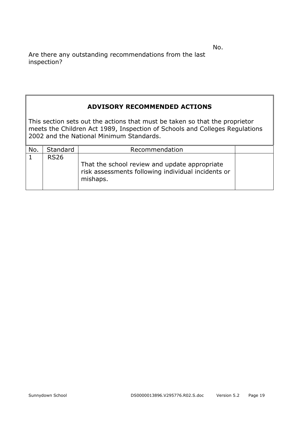No.

Are there any outstanding recommendations from the last inspection?

#### **ADVISORY RECOMMENDED ACTIONS**

This section sets out the actions that must be taken so that the proprietor meets the Children Act 1989, Inspection of Schools and Colleges Regulations 2002 and the National Minimum Standards.

| No. | Standard    | Recommendation                                                                                                  |  |
|-----|-------------|-----------------------------------------------------------------------------------------------------------------|--|
|     | <b>RS26</b> |                                                                                                                 |  |
|     |             | That the school review and update appropriate<br>risk assessments following individual incidents or<br>mishaps. |  |